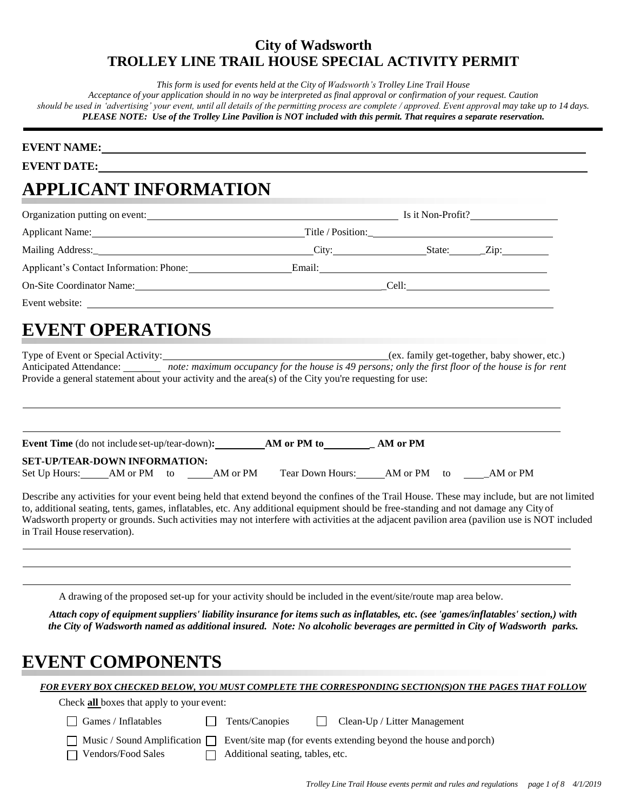*This form is used for events held at the City of Wadsworth's Trolley Line Trail House*

Acceptance of your application should in no way be interpreted as final approval or confirmation of your request. Caution *should be used in 'advertising' your event, until all details of the permitting process are complete / approved. Event approval may take up to 14 days. PLEASE NOTE: Use of the Trolley Line Pavilion is NOT included with this permit. That requires a separate reservation.*

#### **EVENT NAME:**

**EVENT DATE:**

# **APPLICANT INFORMATION**

| Organization putting on event:<br><u>Letter and the contract of the contract of the contract of the contract of the contract of the contract of the contract of the contract of the contract of the contract of the contract of th</u> |  | Is it Non-Profit? |
|----------------------------------------------------------------------------------------------------------------------------------------------------------------------------------------------------------------------------------------|--|-------------------|
| Applicant Name: Title / Position: Title / Position:                                                                                                                                                                                    |  |                   |
| Mailing Address: City: City:                                                                                                                                                                                                           |  | $State:$ $Zip:$   |
| Applicant's Contact Information: Phone: Email: Email:                                                                                                                                                                                  |  |                   |
| On-Site Coordinator Name: Colline Coordinator Name: Colline Coordinator Name: Colline Coordinator Name: Colline Coordinator Name: Colline Coordinator Name: Coordinator Name: Coordinator Name: Coordinator Name: Coordinator          |  |                   |
|                                                                                                                                                                                                                                        |  |                   |
|                                                                                                                                                                                                                                        |  |                   |

# **EVENT OPERATIONS**

Type of Event or Special Activity: (ex. family get-together, baby shower, etc.) Anticipated Attendance: *note: maximum occupancy for the house is 49 persons; only the first floor of the house is for rent* Provide a general statement about your activity and the area(s) of the City you're requesting for use:

| <b>Event Time</b> (do not include set-up/tear-down): |             |  |          | AM or PM to      | AM or PM |    |          |
|------------------------------------------------------|-------------|--|----------|------------------|----------|----|----------|
| <b>SET-UP/TEAR-DOWN INFORMATION:</b>                 |             |  |          |                  |          |    |          |
| Set Up Hours:                                        | AM or PM to |  | AM or PM | Tear Down Hours: | AM or PM | to | AM or PM |

Describe any activities for your event being held that extend beyond the confines of the Trail House. These may include, but are not limited to, additional seating, tents, games, inflatables, etc. Any additional equipment should be free-standing and not damage any City of Wadsworth property or grounds. Such activities may not interfere with activities at the adjacent pavilion area (pavilion use is NOT included in Trail House reservation).

A drawing of the proposed set-up for your activity should be included in the event/site/route map area below.

Attach copy of equipment suppliers' liability insurance for items such as inflatables, etc. (see 'games/inflatables' section,) with *the City of Wadsworth named as additional insured. Note: No alcoholic beverages are permitted in City of Wadsworth parks.*

## **EVENT COMPONENTS**

Check **all** boxes that apply to your event:

| $\Box$ Games / Inflatable |
|---------------------------|
|                           |

 $\Box$  Tents/Canopies  $\Box$  Clean-Up / Litter Management

|  | Music / Sound Ar |
|--|------------------|
|  |                  |

Г

mplification  $\Box$  Event/site map (for events extending beyond the house and porch)  $\Box$  Vendors/Food Sales  $\Box$  Additional seating, tables, etc.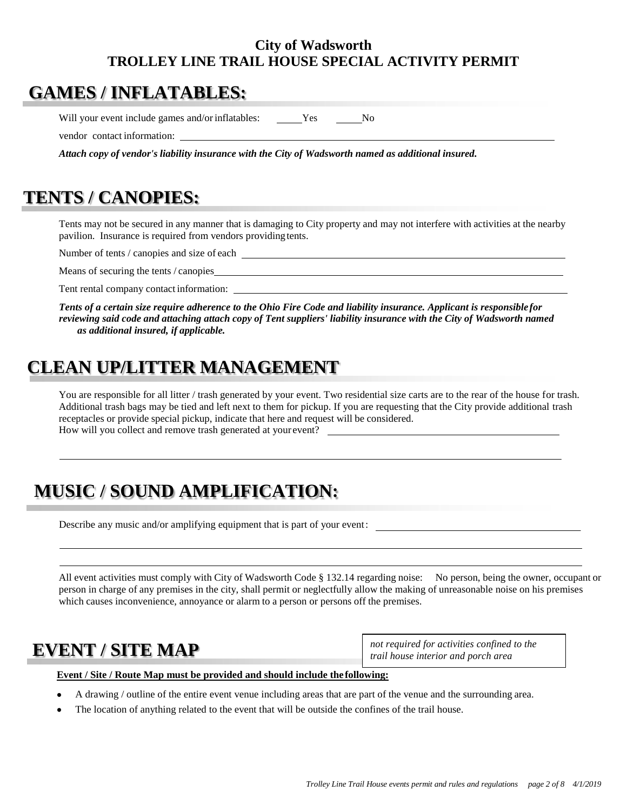# **GAMES / INFLATABLES:**

Will your event include games and/or inflatables: Yes No

vendor contact information:

*Attach copy of vendor's liability insurance with the City of Wadsworth named as additional insured.*

# **TENTS / CANOPIES:**

Tents may not be secured in any manner that is damaging to City property and may not interfere with activities at the nearby pavilion. Insurance is required from vendors providing tents.

Number of tents / canopies and size of each  $\overline{\phantom{a}}$ 

Means of securing the tents / canopies

Tent rental company contact information:

*Tents of a certain size require adherence to the Ohio Fire Code and liability insurance. Applicant is responsible for* reviewing said code and attaching attach copy of Tent suppliers' liability insurance with the City of Wadsworth named *as additional insured, if applicable.*

# **CLEAN UP/LITTER MANAGEMENT**

You are responsible for all litter / trash generated by your event. Two residential size carts are to the rear of the house for trash. Additional trash bags may be tied and left next to them for pickup. If you are requesting that the City provide additional trash receptacles or provide special pickup, indicate that here and request will be considered. How will you collect and remove trash generated at your event?

# **MUSIC / SOUND AMPLIFICATION:**

Describe any music and/or amplifying equipment that is part of your event:

All event activities must comply with City of Wadsworth Code § 132.14 regarding noise: No person, being the owner, occupant or person in charge of any premises in the city, shall permit or neglectfully allow the making of unreasonable noise on his premises which causes inconvenience, annoyance or alarm to a person or persons off the premises.

*not required for activities confined to the* **EVENT** *trail house interior and porch area* **/ SITE MAP**

#### **Event / Site / Route Map must be provided and should include the following:**

- A drawing / outline of the entire event venue including areas that are part of the venue and the surrounding area.
- The location of anything related to the event that will be outside the confines of the trail house.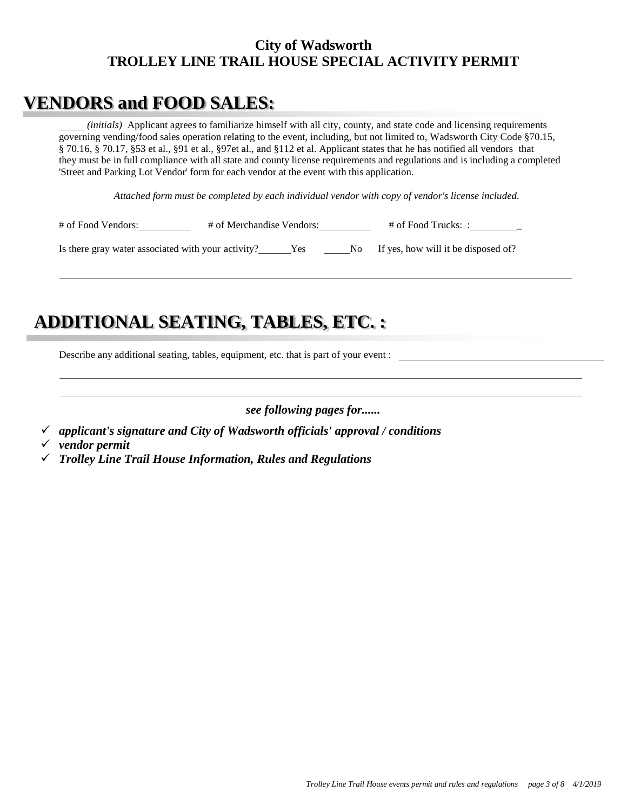# **VENDORS and FOOD SALES:**

*(initials)* Applicant agrees to familiarize himself with all city, county, and state code and licensing requirements governing vending/food sales operation relating to the event, including, but not limited to, Wadsworth City Code §70.15, § 70.16, § 70.17, §53 et al., §91 et al., §97et al., and §112 et al. Applicant states that he has notified all vendors that they must be in full compliance with all state and county license requirements and regulations and is including a completed 'Street and Parking Lot Vendor' form for each vendor at the event with this application.

*Attached form must be completed by each individual vendor with copy of vendor's license included.*

| # of Food Vendors:                                 | # of Merchandise Vendors: |  | $#$ of Food Trucks: :                  |
|----------------------------------------------------|---------------------------|--|----------------------------------------|
| Is there gray water associated with your activity? |                           |  | No If yes, how will it be disposed of? |

# **ADDITIONAL SEATING, TABLES, ETC. :**

Describe any additional seating, tables, equipment, etc. that is part of your event :

*see following pages for......*

- *applicant's signature and City of Wadsworth officials' approval / conditions*
- *vendor permit*
- *Trolley Line Trail House Information, Rules and Regulations*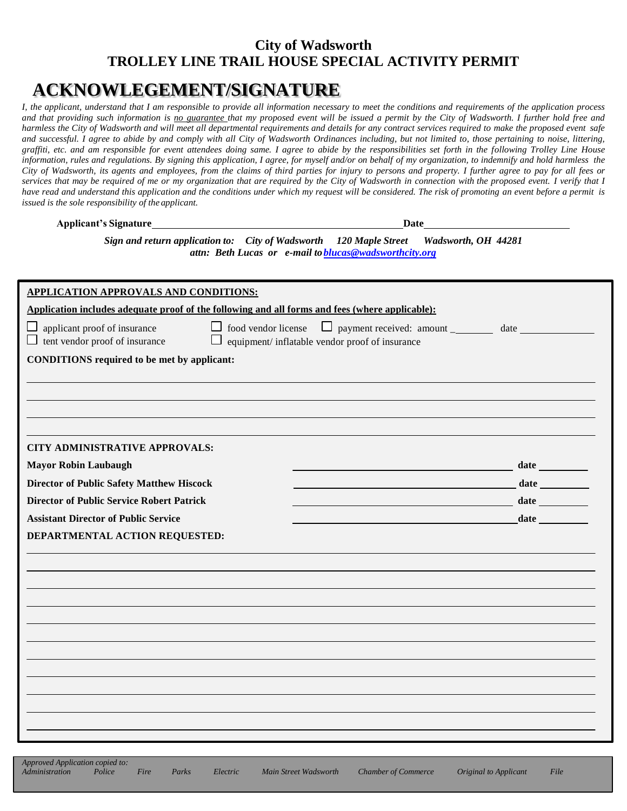# **ACKNOWLEGEMENT/SIGNATURE**

I, the applicant, understand that I am responsible to provide all information necessary to meet the conditions and requirements of the application process *and that providing such information is no guarantee that my proposed event will be issued a permit by the City of Wadsworth. I further hold free and harmless the City of Wadsworth and will meet all departmental requirements and details for any contract services required to make the proposed event safe*  and successful. I agree to abide by and comply with all City of Wadsworth Ordinances including, but not limited to, those pertaining to noise, littering, *graffiti, etc. and am responsible for event attendees doing same. I agree to abide by the responsibilities set forth in the following Trolley Line House information, rules and regulations. By signing this application, I agree, for myself and/or on behalf of my organization, to indemnify and hold harmless the* City of Wadsworth, its agents and employees, from the claims of third parties for injury to persons and property. I further agree to pay for all fees or services that may be required of me or my organization that are required by the City of Wadsworth in connection with the proposed event. I verify that I *have read and understand this application and the conditions under which my request will be considered. The risk of promoting an event before a permit is issued is the sole responsibility of the applicant.*

**Applicant's Signature Date**

*Sign and return application to: City of Wadsworth 120 Maple Street Wadsworth, OH 44281 attn: Beth Lucas or e-mail t[oblucas@wadsworthcity.org](mailto:blucas@wadsworthcity.org)*

| <b>APPLICATION APPROVALS AND CONDITIONS:</b>                                                    |                                                        |  |  |  |  |
|-------------------------------------------------------------------------------------------------|--------------------------------------------------------|--|--|--|--|
| Application includes adequate proof of the following and all forms and fees (where applicable): |                                                        |  |  |  |  |
| applicant proof of insurance<br>$\Box$ tent vendor proof of insurance                           | $\Box$ equipment/ inflatable vendor proof of insurance |  |  |  |  |
| <b>CONDITIONS</b> required to be met by applicant:                                              |                                                        |  |  |  |  |
|                                                                                                 |                                                        |  |  |  |  |
|                                                                                                 |                                                        |  |  |  |  |
|                                                                                                 |                                                        |  |  |  |  |
|                                                                                                 |                                                        |  |  |  |  |
| <b>CITY ADMINISTRATIVE APPROVALS:</b>                                                           |                                                        |  |  |  |  |
| <b>Mayor Robin Laubaugh</b>                                                                     |                                                        |  |  |  |  |
| <b>Director of Public Safety Matthew Hiscock</b>                                                |                                                        |  |  |  |  |
| <b>Director of Public Service Robert Patrick</b>                                                | <u> 1980 - Johann Barbara, martxa amerikan per</u>     |  |  |  |  |
| <b>Assistant Director of Public Service</b>                                                     |                                                        |  |  |  |  |
| DEPARTMENTAL ACTION REQUESTED:                                                                  |                                                        |  |  |  |  |
|                                                                                                 |                                                        |  |  |  |  |
|                                                                                                 |                                                        |  |  |  |  |
|                                                                                                 |                                                        |  |  |  |  |
|                                                                                                 |                                                        |  |  |  |  |
|                                                                                                 |                                                        |  |  |  |  |
|                                                                                                 |                                                        |  |  |  |  |
|                                                                                                 |                                                        |  |  |  |  |
|                                                                                                 |                                                        |  |  |  |  |
|                                                                                                 |                                                        |  |  |  |  |
|                                                                                                 |                                                        |  |  |  |  |
|                                                                                                 |                                                        |  |  |  |  |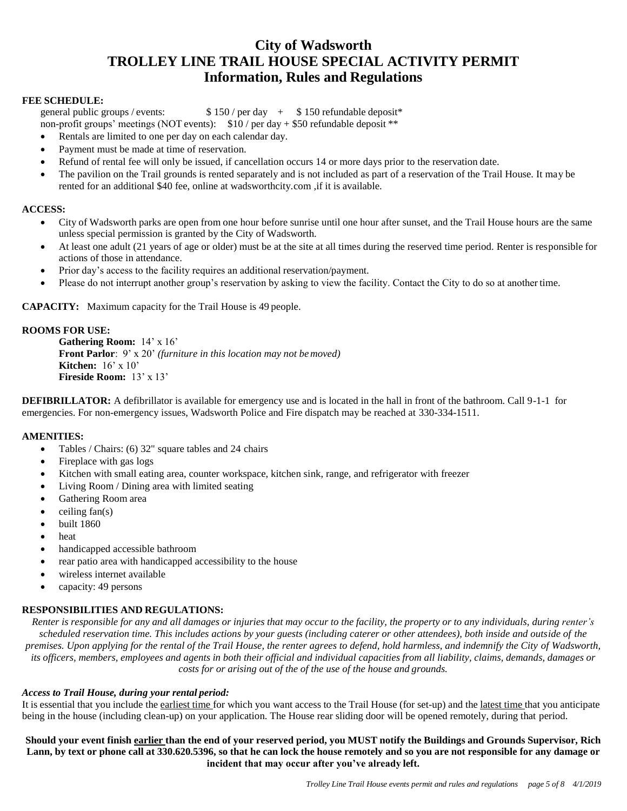### **City of Wadsworth TROLLEY LINE TRAIL HOUSE SPECIAL ACTIVITY PERMIT Information, Rules and Regulations**

#### **FEE SCHEDULE:**

general public groups / events:  $$ 150 / per day + $ 150$  refundable deposit\*

non-profit groups' meetings (NOT events): \$10 / per day + \$50 refundable deposit \*\*

- Rentals are limited to one per day on each calendar day.
- Payment must be made at time of reservation.
- Refund of rental fee will only be issued, if cancellation occurs 14 or more days prior to the reservation date.
- The pavilion on the Trail grounds is rented separately and is not included as part of a reservation of the Trail House. It may be rented for an additional \$40 fee, online at wadsworthcity.com ,if it is available.

#### **ACCESS:**

- City of Wadsworth parks are open from one hour before sunrise until one hour after sunset, and the Trail House hours are the same unless special permission is granted by the City of Wadsworth.
- At least one adult (21 years of age or older) must be at the site at all times during the reserved time period. Renter is responsible for actions of those in attendance.
- Prior day's access to the facility requires an additional reservation/payment.
- Please do not interrupt another group's reservation by asking to view the facility. Contact the City to do so at another time.

**CAPACITY:** Maximum capacity for the Trail House is 49 people.

#### **ROOMS FOR USE:**

**Gathering Room:** 14' x 16' **Front Parlor**: 9' x 20' *(furniture in this location may not bemoved)* **Kitchen:** 16' x 10' **Fireside Room:** 13' x 13'

**DEFIBRILLATOR:** A defibrillator is available for emergency use and is located in the hall in front of the bathroom. Call 9-1-1 for emergencies. For non-emergency issues, Wadsworth Police and Fire dispatch may be reached at 330-334-1511.

#### **AMENITIES:**

- Tables / Chairs: (6) 32" square tables and 24 chairs
- Fireplace with gas logs
- Kitchen with small eating area, counter workspace, kitchen sink, range, and refrigerator with freezer
- Living Room / Dining area with limited seating
- Gathering Room area
- $\bullet$  ceiling fan(s)
- built 1860
- heat
- handicapped accessible bathroom
- rear patio area with handicapped accessibility to the house
- wireless internet available
- capacity: 49 persons

#### **RESPONSIBILITIES AND REGULATIONS:**

Renter is responsible for any and all damages or injuries that may occur to the facility, the property or to any individuals, during renter's *scheduled reservation time. This includes actions by your guests (including caterer or other attendees), both inside and outside of the premises. Upon applying for the rental of the Trail House, the renter agrees to defend, hold harmless, and indemnify the City of Wadsworth,* its officers, members, employees and agents in both their official and individual capacities from all liability, claims, demands, damages or *costs for or arising out of the of the use of the house and grounds.*

#### *Access to Trail House, during your rental period:*

It is essential that you include the earliest time for which you want access to the Trail House (for set-up) and the latest time that you anticipate being in the house (including clean-up) on your application. The House rear sliding door will be opened remotely, during that period.

Should your event finish earlier than the end of your reserved period, you MUST notify the Buildings and Grounds Supervisor, Rich Lann, by text or phone call at 330.620.5396, so that he can lock the house remotely and so you are not responsible for any damage or **incident that may occur after you've already left.**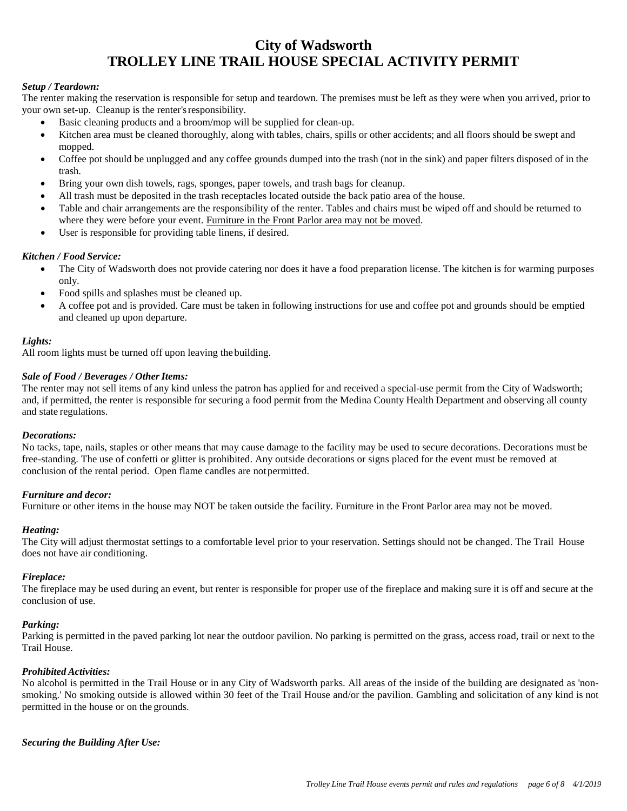#### *Setup / Teardown:*

The renter making the reservation is responsible for setup and teardown. The premises must be left as they were when you arrived, prior to your own set-up. Cleanup is the renter'sresponsibility.

- Basic cleaning products and a broom/mop will be supplied for clean-up.
- Kitchen area must be cleaned thoroughly, along with tables, chairs, spills or other accidents; and all floors should be swept and mopped.
- Coffee pot should be unplugged and any coffee grounds dumped into the trash (not in the sink) and paper filters disposed of in the trash.
- Bring your own dish towels, rags, sponges, paper towels, and trash bags for cleanup.
- All trash must be deposited in the trash receptacles located outside the back patio area of the house.
- Table and chair arrangements are the responsibility of the renter. Tables and chairs must be wiped off and should be returned to where they were before your event. Furniture in the Front Parlor area may not be moved.
- User is responsible for providing table linens, if desired.

#### *Kitchen / Food Service:*

- The City of Wadsworth does not provide catering nor does it have a food preparation license. The kitchen is for warming purposes only.
- Food spills and splashes must be cleaned up.
- A coffee pot and is provided. Care must be taken in following instructions for use and coffee pot and grounds should be emptied and cleaned up upon departure.

#### *Lights:*

All room lights must be turned off upon leaving the building.

#### Sale of Food / Beverages / Other Items:

The renter may not sell items of any kind unless the patron has applied for and received a special-use permit from the City of Wadsworth; and, if permitted, the renter is responsible for securing a food permit from the Medina County Health Department and observing all county and state regulations.

#### *Decorations:*

No tacks, tape, nails, staples or other means that may cause damage to the facility may be used to secure decorations. Decorations must be free-standing. The use of confetti or glitter is prohibited. Any outside decorations or signs placed for the event must be removed at conclusion of the rental period. Open flame candles are notpermitted.

#### *Furniture and decor:*

Furniture or other items in the house may NOT be taken outside the facility. Furniture in the Front Parlor area may not be moved.

#### *Heating:*

The City will adjust thermostat settings to a comfortable level prior to your reservation. Settings should not be changed. The Trail House does not have air conditioning.

#### *Fireplace:*

The fireplace may be used during an event, but renter is responsible for proper use of the fireplace and making sure it is off and secure at the conclusion of use.

#### *Parking:*

Parking is permitted in the paved parking lot near the outdoor pavilion. No parking is permitted on the grass, access road, trail or next to the Trail House.

#### *Prohibited Activities:*

No alcohol is permitted in the Trail House or in any City of Wadsworth parks. All areas of the inside of the building are designated as 'nonsmoking.' No smoking outside is allowed within 30 feet of the Trail House and/or the pavilion. Gambling and solicitation of any kind is not permitted in the house or on the grounds.

*Securing the Building After Use:*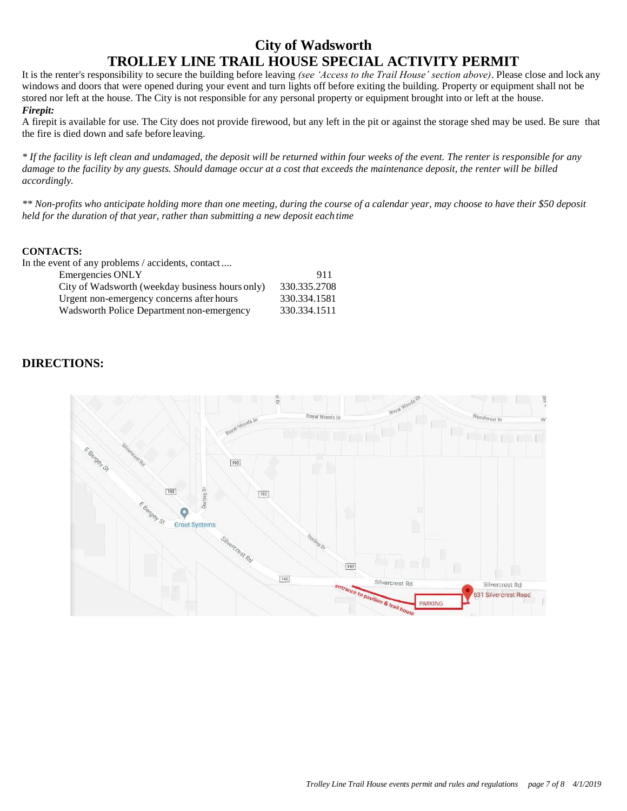It is the renter's responsibility to secure the building before leaving *(see 'Access to the Trail House' section above)*. Please close and lock any windows and doors that were opened during your event and turn lights off before exiting the building. Property or equipment shall not be stored nor left at the house. The City is not responsible for any personal property or equipment brought into or left at the house. *Firepit:*

A firepit is available for use. The City does not provide firewood, but any left in the pit or against the storage shed may be used. Be sure that the fire is died down and safe before leaving.

*\* If the facility is left clean and undamaged, the deposit will be returned within four weeks of the event. The renter is responsible for any damage to the facility by any guests. Should damage occur at a cost that exceeds the maintenance deposit, the renter will be billed accordingly.*

\*\* Non-profits who anticipate holding more than one meeting, during the course of a calendar year, may choose to have their \$50 deposit *held for the duration of that year, rather than submitting a new deposit each time*

#### **CONTACTS:**

In the event of any problems / accidents, contact ....

| Emergencies ONLY                                | 911          |
|-------------------------------------------------|--------------|
| City of Wadsworth (weekday business hours only) | 330.335.2708 |
| Urgent non-emergency concerns after hours       | 330.334.1581 |
| Wadsworth Police Department non-emergency       | 330.334.1511 |

### **DIRECTIONS:**